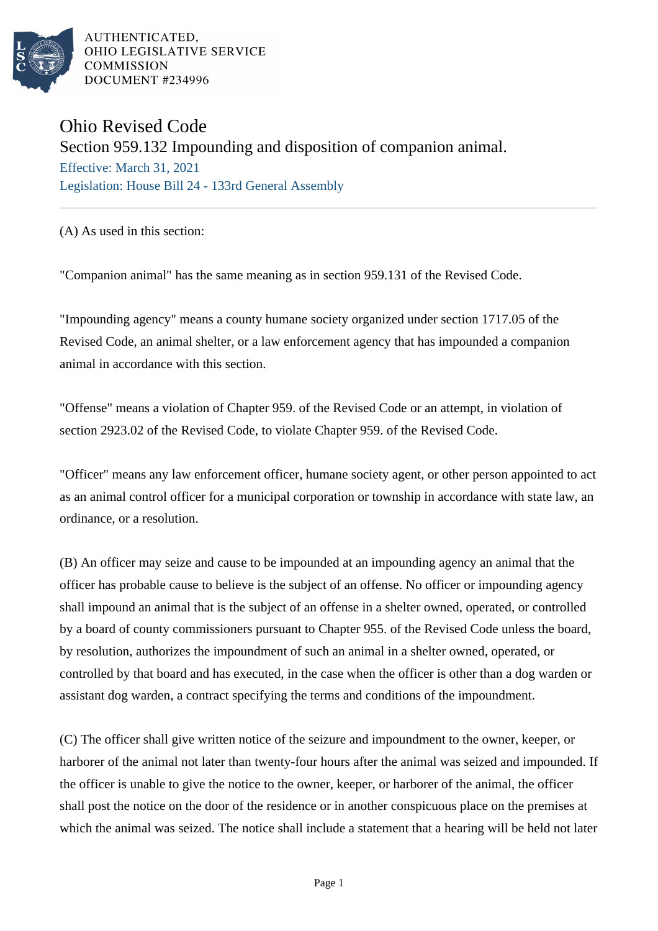

AUTHENTICATED. OHIO LEGISLATIVE SERVICE **COMMISSION DOCUMENT #234996** 

# Ohio Revised Code

## Section 959.132 Impounding and disposition of companion animal.

Effective: March 31, 2021 Legislation: House Bill 24 - 133rd General Assembly

(A) As used in this section:

"Companion animal" has the same meaning as in section 959.131 of the Revised Code.

"Impounding agency" means a county humane society organized under section 1717.05 of the Revised Code, an animal shelter, or a law enforcement agency that has impounded a companion animal in accordance with this section.

"Offense" means a violation of Chapter 959. of the Revised Code or an attempt, in violation of section 2923.02 of the Revised Code, to violate Chapter 959. of the Revised Code.

"Officer" means any law enforcement officer, humane society agent, or other person appointed to act as an animal control officer for a municipal corporation or township in accordance with state law, an ordinance, or a resolution.

(B) An officer may seize and cause to be impounded at an impounding agency an animal that the officer has probable cause to believe is the subject of an offense. No officer or impounding agency shall impound an animal that is the subject of an offense in a shelter owned, operated, or controlled by a board of county commissioners pursuant to Chapter 955. of the Revised Code unless the board, by resolution, authorizes the impoundment of such an animal in a shelter owned, operated, or controlled by that board and has executed, in the case when the officer is other than a dog warden or assistant dog warden, a contract specifying the terms and conditions of the impoundment.

(C) The officer shall give written notice of the seizure and impoundment to the owner, keeper, or harborer of the animal not later than twenty-four hours after the animal was seized and impounded. If the officer is unable to give the notice to the owner, keeper, or harborer of the animal, the officer shall post the notice on the door of the residence or in another conspicuous place on the premises at which the animal was seized. The notice shall include a statement that a hearing will be held not later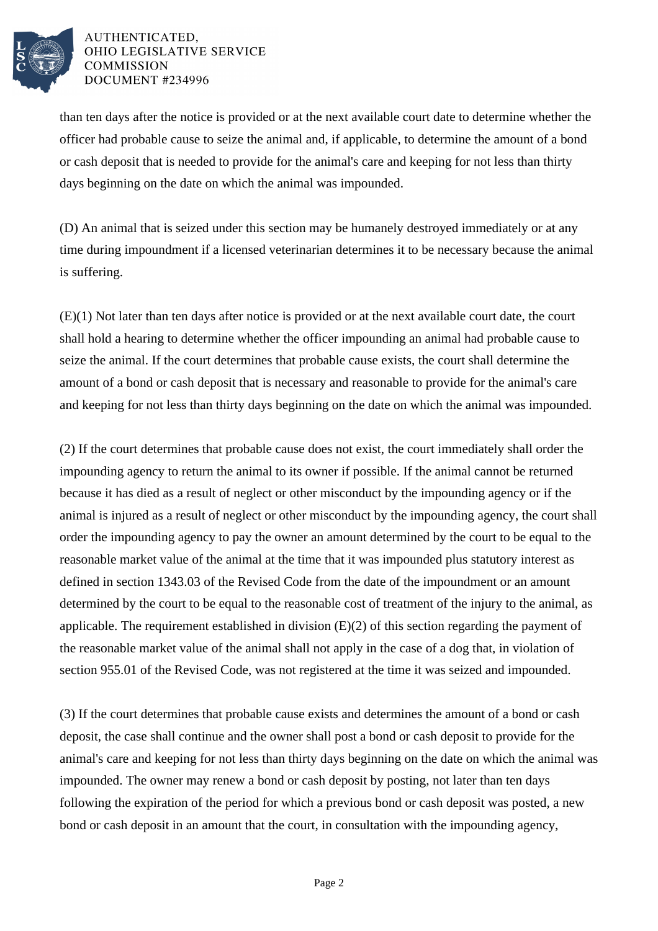

#### AUTHENTICATED, OHIO LEGISLATIVE SERVICE **COMMISSION DOCUMENT #234996**

than ten days after the notice is provided or at the next available court date to determine whether the officer had probable cause to seize the animal and, if applicable, to determine the amount of a bond or cash deposit that is needed to provide for the animal's care and keeping for not less than thirty days beginning on the date on which the animal was impounded.

(D) An animal that is seized under this section may be humanely destroyed immediately or at any time during impoundment if a licensed veterinarian determines it to be necessary because the animal is suffering.

(E)(1) Not later than ten days after notice is provided or at the next available court date, the court shall hold a hearing to determine whether the officer impounding an animal had probable cause to seize the animal. If the court determines that probable cause exists, the court shall determine the amount of a bond or cash deposit that is necessary and reasonable to provide for the animal's care and keeping for not less than thirty days beginning on the date on which the animal was impounded.

(2) If the court determines that probable cause does not exist, the court immediately shall order the impounding agency to return the animal to its owner if possible. If the animal cannot be returned because it has died as a result of neglect or other misconduct by the impounding agency or if the animal is injured as a result of neglect or other misconduct by the impounding agency, the court shall order the impounding agency to pay the owner an amount determined by the court to be equal to the reasonable market value of the animal at the time that it was impounded plus statutory interest as defined in section 1343.03 of the Revised Code from the date of the impoundment or an amount determined by the court to be equal to the reasonable cost of treatment of the injury to the animal, as applicable. The requirement established in division (E)(2) of this section regarding the payment of the reasonable market value of the animal shall not apply in the case of a dog that, in violation of section 955.01 of the Revised Code, was not registered at the time it was seized and impounded.

(3) If the court determines that probable cause exists and determines the amount of a bond or cash deposit, the case shall continue and the owner shall post a bond or cash deposit to provide for the animal's care and keeping for not less than thirty days beginning on the date on which the animal was impounded. The owner may renew a bond or cash deposit by posting, not later than ten days following the expiration of the period for which a previous bond or cash deposit was posted, a new bond or cash deposit in an amount that the court, in consultation with the impounding agency,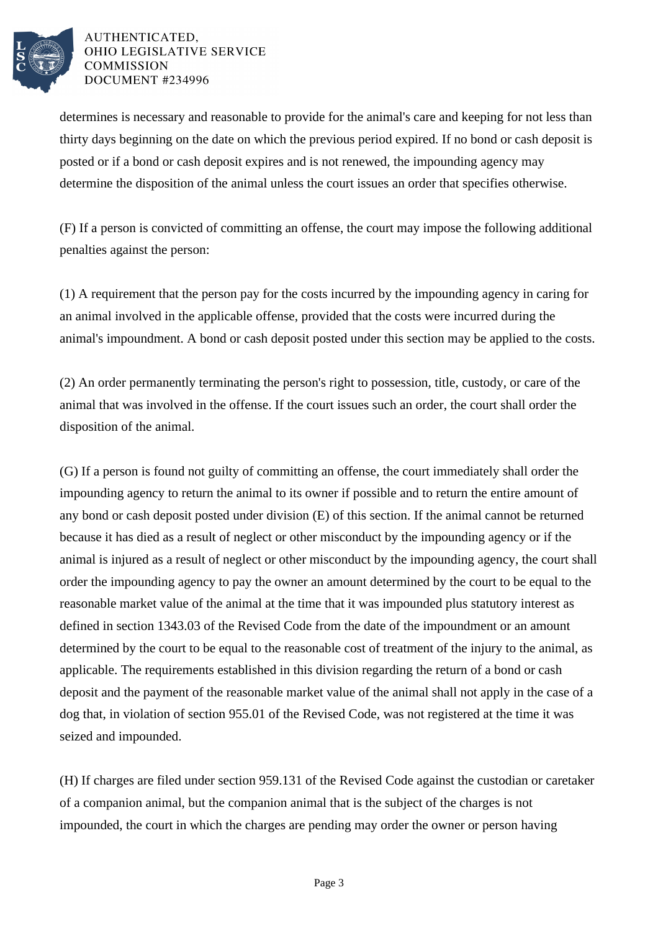

#### AUTHENTICATED. OHIO LEGISLATIVE SERVICE **COMMISSION DOCUMENT #234996**

determines is necessary and reasonable to provide for the animal's care and keeping for not less than thirty days beginning on the date on which the previous period expired. If no bond or cash deposit is posted or if a bond or cash deposit expires and is not renewed, the impounding agency may determine the disposition of the animal unless the court issues an order that specifies otherwise.

(F) If a person is convicted of committing an offense, the court may impose the following additional penalties against the person:

(1) A requirement that the person pay for the costs incurred by the impounding agency in caring for an animal involved in the applicable offense, provided that the costs were incurred during the animal's impoundment. A bond or cash deposit posted under this section may be applied to the costs.

(2) An order permanently terminating the person's right to possession, title, custody, or care of the animal that was involved in the offense. If the court issues such an order, the court shall order the disposition of the animal.

(G) If a person is found not guilty of committing an offense, the court immediately shall order the impounding agency to return the animal to its owner if possible and to return the entire amount of any bond or cash deposit posted under division (E) of this section. If the animal cannot be returned because it has died as a result of neglect or other misconduct by the impounding agency or if the animal is injured as a result of neglect or other misconduct by the impounding agency, the court shall order the impounding agency to pay the owner an amount determined by the court to be equal to the reasonable market value of the animal at the time that it was impounded plus statutory interest as defined in section 1343.03 of the Revised Code from the date of the impoundment or an amount determined by the court to be equal to the reasonable cost of treatment of the injury to the animal, as applicable. The requirements established in this division regarding the return of a bond or cash deposit and the payment of the reasonable market value of the animal shall not apply in the case of a dog that, in violation of section 955.01 of the Revised Code, was not registered at the time it was seized and impounded.

(H) If charges are filed under section 959.131 of the Revised Code against the custodian or caretaker of a companion animal, but the companion animal that is the subject of the charges is not impounded, the court in which the charges are pending may order the owner or person having